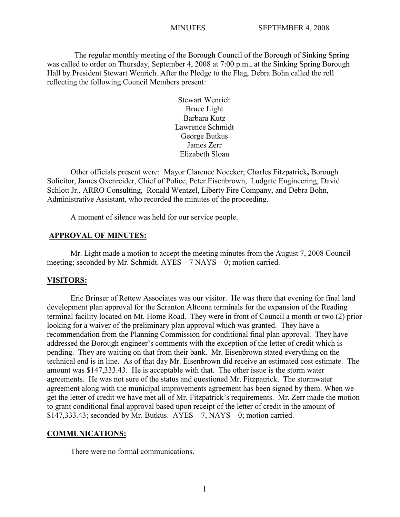The regular monthly meeting of the Borough Council of the Borough of Sinking Spring was called to order on Thursday, September 4, 2008 at 7:00 p.m., at the Sinking Spring Borough Hall by President Stewart Wenrich. After the Pledge to the Flag, Debra Bohn called the roll reflecting the following Council Members present:

> Stewart Wenrich Bruce Light Barbara Kutz Lawrence Schmidt George Butkus James Zerr Elizabeth Sloan

Other officials present were: Mayor Clarence Noecker; Charles Fitzpatrick**,** Borough Solicitor, James Oxenreider, Chief of Police, Peter Eisenbrown, Ludgate Engineering, David Schlott Jr., ARRO Consulting, Ronald Wentzel, Liberty Fire Company, and Debra Bohn, Administrative Assistant, who recorded the minutes of the proceeding.

A moment of silence was held for our service people.

## **APPROVAL OF MINUTES:**

Mr. Light made a motion to accept the meeting minutes from the August 7, 2008 Council meeting; seconded by Mr. Schmidt. AYES – 7 NAYS – 0; motion carried.

## **VISITORS:**

Eric Brinser of Rettew Associates was our visitor. He was there that evening for final land development plan approval for the Scranton Altoona terminals for the expansion of the Reading terminal facility located on Mt. Home Road. They were in front of Council a month or two (2) prior looking for a waiver of the preliminary plan approval which was granted. They have a recommendation from the Planning Commission for conditional final plan approval. They have addressed the Borough engineer's comments with the exception of the letter of credit which is pending. They are waiting on that from their bank. Mr. Eisenbrown stated everything on the technical end is in line. As of that day Mr. Eisenbrown did receive an estimated cost estimate. The amount was \$147,333.43. He is acceptable with that. The other issue is the storm water agreements. He was not sure of the status and questioned Mr. Fitzpatrick. The stormwater agreement along with the municipal improvements agreement has been signed by them. When we get the letter of credit we have met all of Mr. Fitzpatrick's requirements. Mr. Zerr made the motion to grant conditional final approval based upon receipt of the letter of credit in the amount of  $$147,333.43$ ; seconded by Mr. Butkus.  $AYES - 7$ , NAYS - 0; motion carried.

### **COMMUNICATIONS:**

There were no formal communications.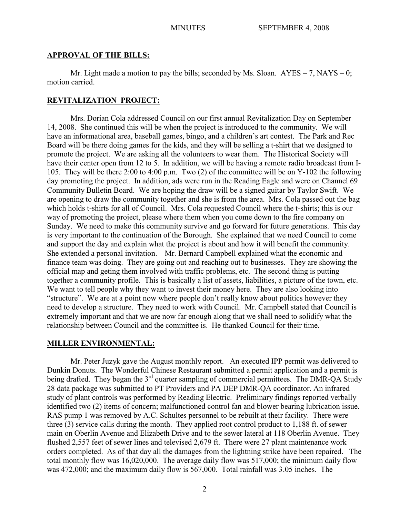## **APPROVAL OF THE BILLS:**

Mr. Light made a motion to pay the bills; seconded by Ms. Sloan.  $AYES - 7$ ,  $NAYS - 0$ ; motion carried.

## **REVITALIZATION PROJECT:**

Mrs. Dorian Cola addressed Council on our first annual Revitalization Day on September 14, 2008. She continued this will be when the project is introduced to the community. We will have an informational area, baseball games, bingo, and a children's art contest. The Park and Rec Board will be there doing games for the kids, and they will be selling a t-shirt that we designed to promote the project. We are asking all the volunteers to wear them. The Historical Society will have their center open from 12 to 5. In addition, we will be having a remote radio broadcast from I-105. They will be there 2:00 to 4:00 p.m. Two (2) of the committee will be on Y-102 the following day promoting the project. In addition, ads were run in the Reading Eagle and were on Channel 69 Community Bulletin Board. We are hoping the draw will be a signed guitar by Taylor Swift. We are opening to draw the community together and she is from the area. Mrs. Cola passed out the bag which holds t-shirts for all of Council. Mrs. Cola requested Council where the t-shirts; this is our way of promoting the project, please where them when you come down to the fire company on Sunday. We need to make this community survive and go forward for future generations. This day is very important to the continuation of the Borough. She explained that we need Council to come and support the day and explain what the project is about and how it will benefit the community. She extended a personal invitation. Mr. Bernard Campbell explained what the economic and finance team was doing. They are going out and reaching out to businesses. They are showing the official map and geting them involved with traffic problems, etc. The second thing is putting together a community profile. This is basically a list of assets, liabilities, a picture of the town, etc. We want to tell people why they want to invest their money here. They are also looking into "structure". We are at a point now where people don't really know about politics however they need to develop a structure. They need to work with Council. Mr. Campbell stated that Council is extremely important and that we are now far enough along that we shall need to solidify what the relationship between Council and the committee is. He thanked Council for their time.

## **MILLER ENVIRONMENTAL:**

Mr. Peter Juzyk gave the August monthly report. An executed IPP permit was delivered to Dunkin Donuts. The Wonderful Chinese Restaurant submitted a permit application and a permit is being drafted. They began the 3<sup>rd</sup> quarter sampling of commercial permittees. The DMR-QA Study 28 data package was submitted to PT Providers and PA DEP DMR-QA coordinator. An infrared study of plant controls was performed by Reading Electric. Preliminary findings reported verbally identified two (2) items of concern; malfunctioned control fan and blower bearing lubrication issue. RAS pump 1 was removed by A.C. Schultes personnel to be rebuilt at their facility. There were three (3) service calls during the month. They applied root control product to 1,188 ft. of sewer main on Oberlin Avenue and Elizabeth Drive and to the sewer lateral at 118 Oberlin Avenue. They flushed 2,557 feet of sewer lines and televised 2,679 ft. There were 27 plant maintenance work orders completed. As of that day all the damages from the lightning strike have been repaired. The total monthly flow was 16,020,000. The average daily flow was 517,000; the minimum daily flow was 472,000; and the maximum daily flow is 567,000. Total rainfall was 3.05 inches. The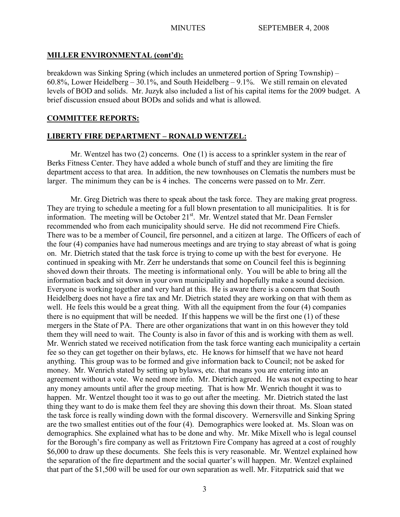## **MILLER ENVIRONMENTAL (cont'd):**

breakdown was Sinking Spring (which includes an unmetered portion of Spring Township) – 60.8%, Lower Heidelberg – 30.1%, and South Heidelberg – 9.1%. We still remain on elevated levels of BOD and solids. Mr. Juzyk also included a list of his capital items for the 2009 budget. A brief discussion ensued about BODs and solids and what is allowed.

## **COMMITTEE REPORTS:**

## **LIBERTY FIRE DEPARTMENT – RONALD WENTZEL:**

Mr. Wentzel has two (2) concerns. One (1) is access to a sprinkler system in the rear of Berks Fitness Center. They have added a whole bunch of stuff and they are limiting the fire department access to that area. In addition, the new townhouses on Clematis the numbers must be larger. The minimum they can be is 4 inches. The concerns were passed on to Mr. Zerr.

Mr. Greg Dietrich was there to speak about the task force. They are making great progress. They are trying to schedule a meeting for a full blown presentation to all municipalities. It is for information. The meeting will be October 21<sup>st</sup>. Mr. Wentzel stated that Mr. Dean Fernsler recommended who from each municipality should serve. He did not recommend Fire Chiefs. There was to be a member of Council, fire personnel, and a citizen at large. The Officers of each of the four (4) companies have had numerous meetings and are trying to stay abreast of what is going on. Mr. Dietrich stated that the task force is trying to come up with the best for everyone. He continued in speaking with Mr. Zerr he understands that some on Council feel this is beginning shoved down their throats. The meeting is informational only. You will be able to bring all the information back and sit down in your own municipality and hopefully make a sound decision. Everyone is working together and very hard at this. He is aware there is a concern that South Heidelberg does not have a fire tax and Mr. Dietrich stated they are working on that with them as well. He feels this would be a great thing. With all the equipment from the four (4) companies there is no equipment that will be needed. If this happens we will be the first one (1) of these mergers in the State of PA. There are other organizations that want in on this however they told them they will need to wait. The County is also in favor of this and is working with them as well. Mr. Wenrich stated we received notification from the task force wanting each municipality a certain fee so they can get together on their bylaws, etc. He knows for himself that we have not heard anything. This group was to be formed and give information back to Council; not be asked for money. Mr. Wenrich stated by setting up bylaws, etc. that means you are entering into an agreement without a vote. We need more info. Mr. Dietrich agreed. He was not expecting to hear any money amounts until after the group meeting. That is how Mr. Wenrich thought it was to happen. Mr. Wentzel thought too it was to go out after the meeting. Mr. Dietrich stated the last thing they want to do is make them feel they are shoving this down their throat. Ms. Sloan stated the task force is really winding down with the formal discovery. Wernersville and Sinking Spring are the two smallest entities out of the four (4). Demographics were looked at. Ms. Sloan was on demographics. She explained what has to be done and why. Mr. Mike Mixell who is legal counsel for the Borough's fire company as well as Fritztown Fire Company has agreed at a cost of roughly \$6,000 to draw up these documents. She feels this is very reasonable. Mr. Wentzel explained how the separation of the fire department and the social quarter's will happen. Mr. Wentzel explained that part of the \$1,500 will be used for our own separation as well. Mr. Fitzpatrick said that we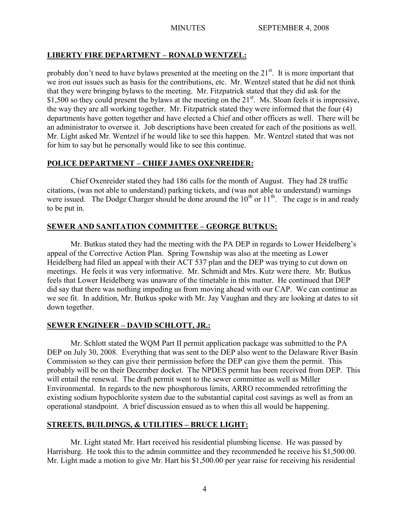# **LIBERTY FIRE DEPARTMENT – RONALD WENTZEL:**

probably don't need to have bylaws presented at the meeting on the  $21<sup>st</sup>$ . It is more important that we iron out issues such as basis for the contributions, etc. Mr. Wentzel stated that he did not think that they were bringing bylaws to the meeting. Mr. Fitzpatrick stated that they did ask for the \$1,500 so they could present the bylaws at the meeting on the 21<sup>st</sup>. Ms. Sloan feels it is impressive, the way they are all working together. Mr. Fitzpatrick stated they were informed that the four (4) departments have gotten together and have elected a Chief and other officers as well. There will be an administrator to oversee it. Job descriptions have been created for each of the positions as well. Mr. Light asked Mr. Wentzel if he would like to see this happen. Mr. Wentzel stated that was not for him to say but he personally would like to see this continue.

# **POLICE DEPARTMENT – CHIEF JAMES OXENREIDER:**

Chief Oxenreider stated they had 186 calls for the month of August. They had 28 traffic citations, (was not able to understand) parking tickets, and (was not able to understand) warnings were issued. The Dodge Charger should be done around the  $10^{th}$  or  $11^{th}$ . The cage is in and ready to be put in.

# **SEWER AND SANITATION COMMITTEE – GEORGE BUTKUS:**

Mr. Butkus stated they had the meeting with the PA DEP in regards to Lower Heidelberg's appeal of the Corrective Action Plan. Spring Township was also at the meeting as Lower Heidelberg had filed an appeal with their ACT 537 plan and the DEP was trying to cut down on meetings. He feels it was very informative. Mr. Schmidt and Mrs. Kutz were there. Mr. Butkus feels that Lower Heidelberg was unaware of the timetable in this matter. He continued that DEP did say that there was nothing impeding us from moving ahead with our CAP. We can continue as we see fit. In addition, Mr. Butkus spoke with Mr. Jay Vaughan and they are looking at dates to sit down together.

# **SEWER ENGINEER – DAVID SCHLOTT, JR.:**

Mr. Schlott stated the WQM Part II permit application package was submitted to the PA DEP on July 30, 2008. Everything that was sent to the DEP also went to the Delaware River Basin Commission so they can give their permission before the DEP can give them the permit. This probably will be on their December docket. The NPDES permit has been received from DEP. This will entail the renewal. The draft permit went to the sewer committee as well as Miller Environmental. In regards to the new phosphorous limits, ARRO recommended retrofitting the existing sodium hypochlorite system due to the substantial capital cost savings as well as from an operational standpoint. A brief discussion ensued as to when this all would be happening.

# **STREETS, BUILDINGS, & UTILITIES – BRUCE LIGHT:**

Mr. Light stated Mr. Hart received his residential plumbing license. He was passed by Harrisburg. He took this to the admin committee and they recommended he receive his \$1,500.00. Mr. Light made a motion to give Mr. Hart his \$1,500.00 per year raise for receiving his residential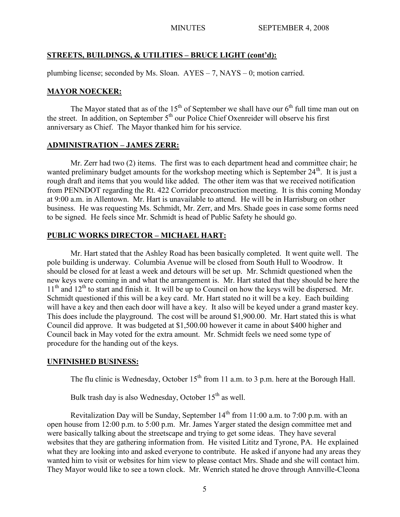## **STREETS, BUILDINGS, & UTILITIES – BRUCE LIGHT (cont'd):**

plumbing license; seconded by Ms. Sloan. AYES – 7, NAYS – 0; motion carried.

## **MAYOR NOECKER:**

The Mayor stated that as of the  $15<sup>th</sup>$  of September we shall have our  $6<sup>th</sup>$  full time man out on the street. In addition, on September  $5<sup>th</sup>$  our Police Chief Oxenreider will observe his first anniversary as Chief. The Mayor thanked him for his service.

## **ADMINISTRATION – JAMES ZERR:**

Mr. Zerr had two (2) items. The first was to each department head and committee chair; he wanted preliminary budget amounts for the workshop meeting which is September  $24<sup>th</sup>$ . It is just a rough draft and items that you would like added. The other item was that we received notification from PENNDOT regarding the Rt. 422 Corridor preconstruction meeting. It is this coming Monday at 9:00 a.m. in Allentown. Mr. Hart is unavailable to attend. He will be in Harrisburg on other business. He was requesting Ms. Schmidt, Mr. Zerr, and Mrs. Shade goes in case some forms need to be signed. He feels since Mr. Schmidt is head of Public Safety he should go.

## **PUBLIC WORKS DIRECTOR – MICHAEL HART:**

Mr. Hart stated that the Ashley Road has been basically completed. It went quite well. The pole building is underway. Columbia Avenue will be closed from South Hull to Woodrow. It should be closed for at least a week and detours will be set up. Mr. Schmidt questioned when the new keys were coming in and what the arrangement is. Mr. Hart stated that they should be here the  $11<sup>th</sup>$  and  $12<sup>th</sup>$  to start and finish it. It will be up to Council on how the keys will be dispersed. Mr. Schmidt questioned if this will be a key card. Mr. Hart stated no it will be a key. Each building will have a key and then each door will have a key. It also will be keyed under a grand master key. This does include the playground. The cost will be around \$1,900.00. Mr. Hart stated this is what Council did approve. It was budgeted at \$1,500.00 however it came in about \$400 higher and Council back in May voted for the extra amount. Mr. Schmidt feels we need some type of procedure for the handing out of the keys.

## **UNFINISHED BUSINESS:**

The flu clinic is Wednesday, October  $15<sup>th</sup>$  from 11 a.m. to 3 p.m. here at the Borough Hall.

Bulk trash day is also Wednesday, October  $15<sup>th</sup>$  as well.

Revitalization Day will be Sunday, September  $14<sup>th</sup>$  from 11:00 a.m. to 7:00 p.m. with an open house from 12:00 p.m. to 5:00 p.m. Mr. James Yarger stated the design committee met and were basically talking about the streetscape and trying to get some ideas. They have several websites that they are gathering information from. He visited Lititz and Tyrone, PA. He explained what they are looking into and asked everyone to contribute. He asked if anyone had any areas they wanted him to visit or websites for him view to please contact Mrs. Shade and she will contact him. They Mayor would like to see a town clock. Mr. Wenrich stated he drove through Annville-Cleona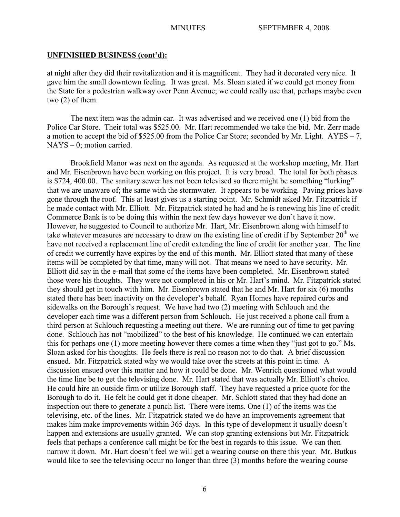## **UNFINISHED BUSINESS (cont'd):**

at night after they did their revitalization and it is magnificent. They had it decorated very nice. It gave him the small downtown feeling. It was great. Ms. Sloan stated if we could get money from the State for a pedestrian walkway over Penn Avenue; we could really use that, perhaps maybe even two (2) of them.

The next item was the admin car. It was advertised and we received one (1) bid from the Police Car Store. Their total was \$525.00. Mr. Hart recommended we take the bid. Mr. Zerr made a motion to accept the bid of \$525.00 from the Police Car Store; seconded by Mr. Light.  $AYES - 7$ , NAYS – 0; motion carried.

Brookfield Manor was next on the agenda. As requested at the workshop meeting, Mr. Hart and Mr. Eisenbrown have been working on this project. It is very broad. The total for both phases is \$724, 400.00. The sanitary sewer has not been televised so there might be something "lurking" that we are unaware of; the same with the stormwater. It appears to be working. Paving prices have gone through the roof. This at least gives us a starting point. Mr. Schmidt asked Mr. Fitzpatrick if he made contact with Mr. Elliott. Mr. Fitzpatrick stated he had and he is renewing his line of credit. Commerce Bank is to be doing this within the next few days however we don't have it now. However, he suggested to Council to authorize Mr. Hart, Mr. Eisenbrown along with himself to take whatever measures are necessary to draw on the existing line of credit if by September  $20<sup>th</sup>$  we have not received a replacement line of credit extending the line of credit for another year. The line of credit we currently have expires by the end of this month. Mr. Elliott stated that many of these items will be completed by that time, many will not. That means we need to have security. Mr. Elliott did say in the e-mail that some of the items have been completed. Mr. Eisenbrown stated those were his thoughts. They were not completed in his or Mr. Hart's mind. Mr. Fitzpatrick stated they should get in touch with him. Mr. Eisenbrown stated that he and Mr. Hart for six (6) months stated there has been inactivity on the developer's behalf. Ryan Homes have repaired curbs and sidewalks on the Borough's request. We have had two (2) meeting with Schlouch and the developer each time was a different person from Schlouch. He just received a phone call from a third person at Schlouch requesting a meeting out there. We are running out of time to get paving done. Schlouch has not "mobilized" to the best of his knowledge. He continued we can entertain this for perhaps one (1) more meeting however there comes a time when they "just got to go." Ms. Sloan asked for his thoughts. He feels there is real no reason not to do that. A brief discussion ensued. Mr. Fitzpatrick stated why we would take over the streets at this point in time. A discussion ensued over this matter and how it could be done. Mr. Wenrich questioned what would the time line be to get the televising done. Mr. Hart stated that was actually Mr. Elliott's choice. He could hire an outside firm or utilize Borough staff. They have requested a price quote for the Borough to do it. He felt he could get it done cheaper. Mr. Schlott stated that they had done an inspection out there to generate a punch list. There were items. One (1) of the items was the televising, etc. of the lines. Mr. Fitzpatrick stated we do have an improvements agreement that makes him make improvements within 365 days. In this type of development it usually doesn't happen and extensions are usually granted. We can stop granting extensions but Mr. Fitzpatrick feels that perhaps a conference call might be for the best in regards to this issue. We can then narrow it down. Mr. Hart doesn't feel we will get a wearing course on there this year. Mr. Butkus would like to see the televising occur no longer than three (3) months before the wearing course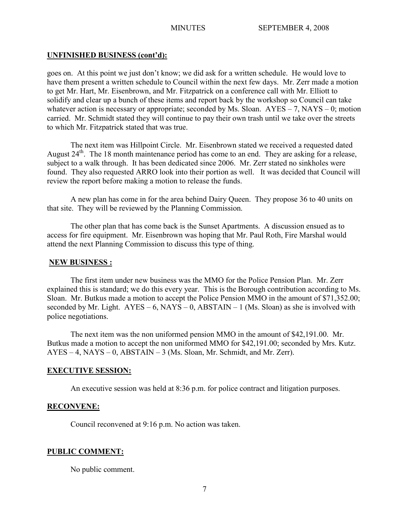## **UNFINISHED BUSINESS (cont'd):**

goes on. At this point we just don't know; we did ask for a written schedule. He would love to have them present a written schedule to Council within the next few days. Mr. Zerr made a motion to get Mr. Hart, Mr. Eisenbrown, and Mr. Fitzpatrick on a conference call with Mr. Elliott to solidify and clear up a bunch of these items and report back by the workshop so Council can take whatever action is necessary or appropriate; seconded by Ms. Sloan.  $AYES - 7$ ,  $NAYS - 0$ ; motion carried. Mr. Schmidt stated they will continue to pay their own trash until we take over the streets to which Mr. Fitzpatrick stated that was true.

The next item was Hillpoint Circle. Mr. Eisenbrown stated we received a requested dated August 24<sup>th</sup>. The 18 month maintenance period has come to an end. They are asking for a release, subject to a walk through. It has been dedicated since 2006. Mr. Zerr stated no sinkholes were found. They also requested ARRO look into their portion as well. It was decided that Council will review the report before making a motion to release the funds.

A new plan has come in for the area behind Dairy Queen. They propose 36 to 40 units on that site. They will be reviewed by the Planning Commission.

The other plan that has come back is the Sunset Apartments. A discussion ensued as to access for fire equipment. Mr. Eisenbrown was hoping that Mr. Paul Roth, Fire Marshal would attend the next Planning Commission to discuss this type of thing.

### **NEW BUSINESS :**

The first item under new business was the MMO for the Police Pension Plan. Mr. Zerr explained this is standard; we do this every year. This is the Borough contribution according to Ms. Sloan. Mr. Butkus made a motion to accept the Police Pension MMO in the amount of \$71,352.00; seconded by Mr. Light.  $AYES - 6$ ,  $NAYS - 0$ ,  $ABSTAIN - 1$  (Ms. Sloan) as she is involved with police negotiations.

The next item was the non uniformed pension MMO in the amount of \$42,191.00. Mr. Butkus made a motion to accept the non uniformed MMO for \$42,191.00; seconded by Mrs. Kutz. AYES – 4, NAYS – 0, ABSTAIN – 3 (Ms. Sloan, Mr. Schmidt, and Mr. Zerr).

## **EXECUTIVE SESSION:**

An executive session was held at 8:36 p.m. for police contract and litigation purposes.

## **RECONVENE:**

Council reconvened at 9:16 p.m. No action was taken.

## **PUBLIC COMMENT:**

No public comment.